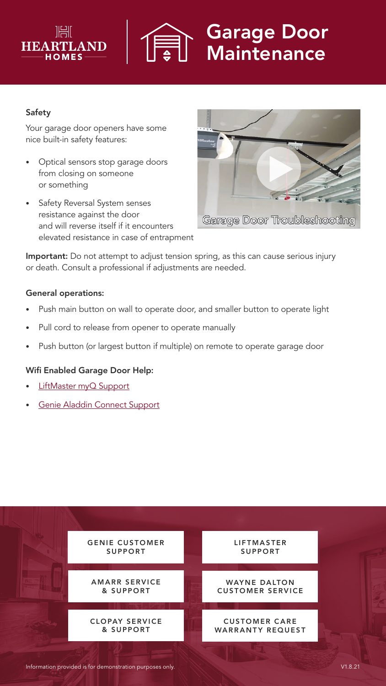



# Garage Door **Maintenance**

# Safety

Your garage door openers have some nice built-in safety features:

- Optical sensors stop garage doors from closing on someone or something
- Safety Reversal System senses resistance against the door and will reverse itself if it encounters elevated resistance in case of entrapment



Garage Door Troubleshooting

Important: Do not attempt to adjust tension spring, as this can cause serious injury or death. Consult a professional if adjustments are needed.

## General operations:

- Push main button on wall to operate door, and smaller button to operate light
- Pull cord to release from opener to operate manually
- Push button (or largest button if multiple) on remote to operate garage door

## Wifi Enabled Garage Door Help:

- [LiftMaster myQ Support](https://wecare.heartlandluxuryhomes.com/pdf-liftmaster-wifi-setup)
- [Genie Aladdin Connect Support](https://wecare.heartlandluxuryhomes.com/pdf-genie-wifi-setup)

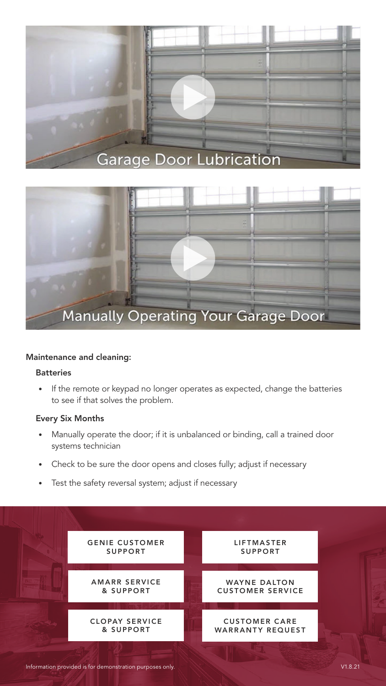



#### Maintenance and cleaning:

#### **Batteries**

• If the remote or keypad no longer operates as expected, change the batteries to see if that solves the problem.

#### Every Six Months

- Manually operate the door; if it is unbalanced or binding, call a trained door systems technician
- Check to be sure the door opens and closes fully; adjust if necessary
- Test the safety reversal system; adjust if necessary